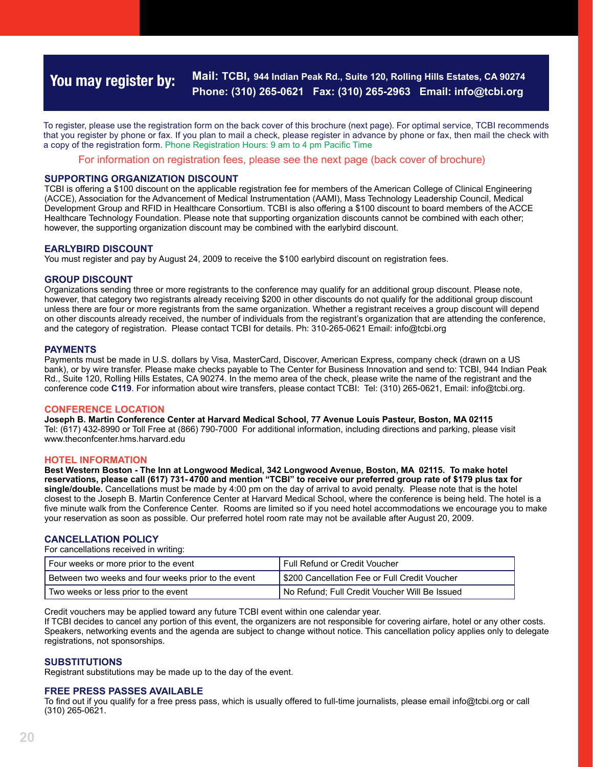## **You may register by: Mail: TCBI, 944 Indian Peak Rd., Suite 120, Rolling Hills Estates, CA 90274 Phone: (310) 265-0621 Fax: (310) 265-2963 Email: info@tcbi.org**

To register, please use the registration form on the back cover of this brochure (next page). For optimal service, TCBI recommends that you register by phone or fax. If you plan to mail a check, please register in advance by phone or fax, then mail the check with a copy of the registration form. Phone Registration Hours: 9 am to 4 pm Pacific Time

For information on registration fees, please see the next page (back cover of brochure)

## **SUPPORTING ORGANIZATION DISCOUNT**

TCBI is offering a \$100 discount on the applicable registration fee for members of the American College of Clinical Engineering (ACCE), Association for the Advancement of Medical Instrumentation (AAMI), Mass Technology Leadership Council, Medical Development Group and RFID in Healthcare Consortium. TCBI is also offering a \$100 discount to board members of the ACCE Healthcare Technology Foundation. Please note that supporting organization discounts cannot be combined with each other; however, the supporting organization discount may be combined with the earlybird discount.

## **EARLYBIRD DISCOUNT**

You must register and pay by August 24, 2009 to receive the \$100 earlybird discount on registration fees.

## **GROUP DISCOUNT**

Organizations sending three or more registrants to the conference may qualify for an additional group discount. Please note, however, that category two registrants already receiving \$200 in other discounts do not qualify for the additional group discount unless there are four or more registrants from the same organization. Whether a registrant receives a group discount will depend on other discounts already received, the number of individuals from the registrant's organization that are attending the conference, and the category of registration. Please contact TCBI for details. Ph: 310-265-0621 Email: info@tcbi.org

#### **PAYMENTS**

Payments must be made in U.S. dollars by Visa, MasterCard, Discover, American Express, company check (drawn on a US bank), or by wire transfer. Please make checks payable to The Center for Business Innovation and send to: TCBI, 944 Indian Peak Rd., Suite 120, Rolling Hills Estates, CA 90274. In the memo area of the check, please write the name of the registrant and the conference code **C119**. For information about wire transfers, please contact TCBI: Tel: (310) 265-0621, Email: info@tcbi.org.

## **Conference Location**

**Joseph B. Martin Conference Center at Harvard Medical School, 77 Avenue Louis Pasteur, Boston, MA 02115** Tel: (617) 432-8990 or Toll Free at (866) 790-7000 For additional information, including directions and parking, please visit www. www.theconfcenter.hms.harvard.edu

#### **HOTEL INFORMATION**

**Best Western Boston - The Inn at Longwood Medical, 342 Longwood Avenue, Boston, MA 02115. To make hotel reservations, please call (617) 731- 4700 and mention "TCBI" to receive our preferred group rate of \$179 plus tax for single/double.** Cancellations must be made by 4:00 pm on the day of arrival to avoid penalty. Please note that is the hotel closest to the Joseph B. Martin Conference Center at Harvard Medical School, where the conference is being held. The hotel is a five minute walk from the Conference Center. Rooms are limited so if you need hotel accommodations we encourage you to make your reservation as soon as possible. Our preferred hotel room rate may not be available after August 20, 2009.

## **CANCELLATION POLICY**

For cancellations received in writing:

| Four weeks or more prior to the event               | l Full Refund or Credit Voucher               |
|-----------------------------------------------------|-----------------------------------------------|
| Between two weeks and four weeks prior to the event | S200 Cancellation Fee or Full Credit Voucher  |
| Two weeks or less prior to the event                | No Refund: Full Credit Voucher Will Be Issued |

Credit vouchers may be applied toward any future TCBI event within one calendar year.

If TCBI decides to cancel any portion of this event, the organizers are not responsible for covering airfare, hotel or any other costs. Speakers, networking events and the agenda are subject to change without notice. This cancellation policy applies only to delegate registrations, not sponsorships.

## **SUBSTITUTIONS**

Registrant substitutions may be made up to the day of the event.

#### **FREE PRESS PASSES AVAILABLE**

To find out if you qualify for a free press pass, which is usually offered to full-time journalists, please email info@tcbi.org or call (310) 265-0621.